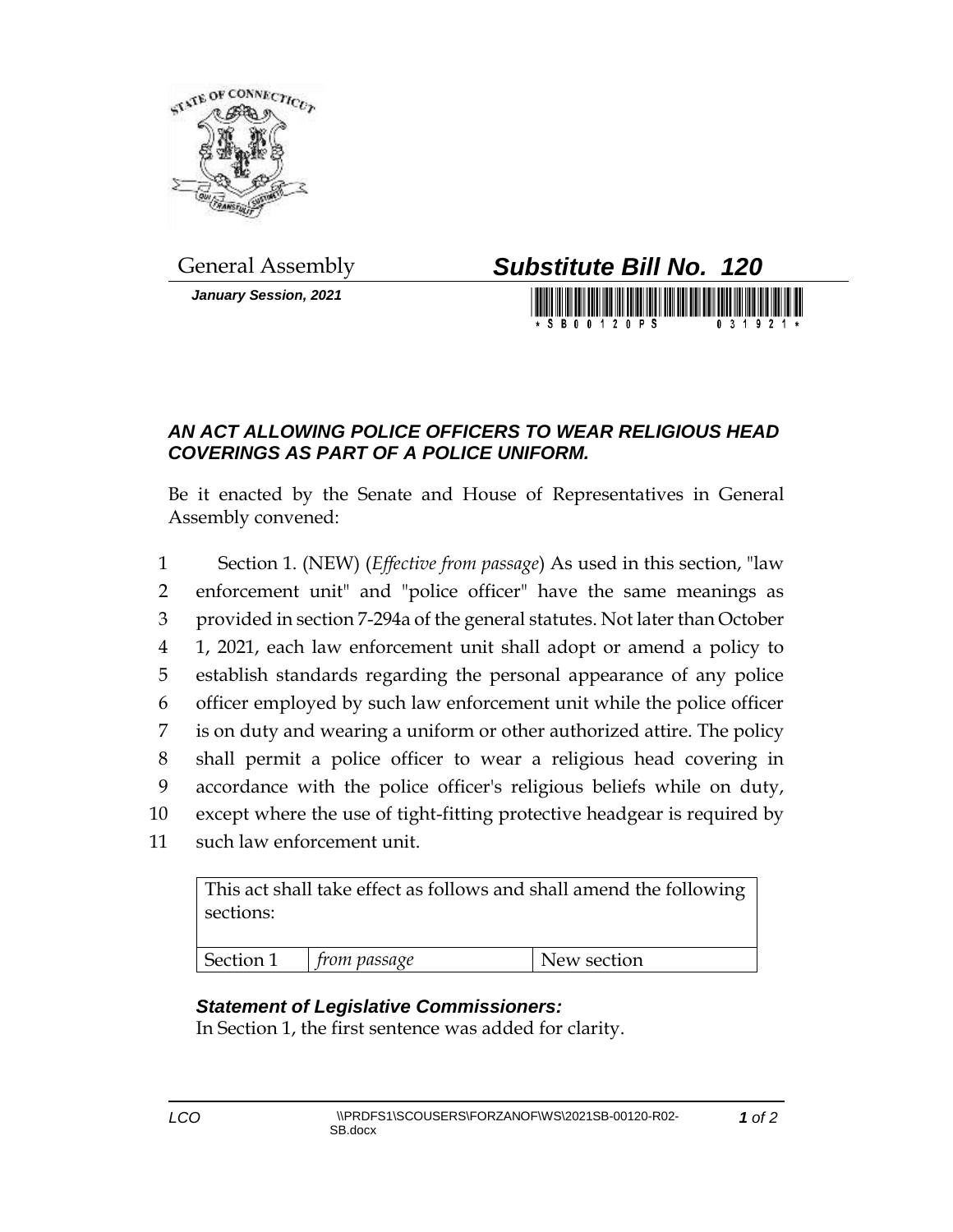

*January Session, 2021*



## *AN ACT ALLOWING POLICE OFFICERS TO WEAR RELIGIOUS HEAD COVERINGS AS PART OF A POLICE UNIFORM.*

Be it enacted by the Senate and House of Representatives in General Assembly convened:

 Section 1. (NEW) (*Effective from passage*) As used in this section, "law enforcement unit" and "police officer" have the same meanings as provided in section 7-294a of the general statutes. Not later than October 1, 2021, each law enforcement unit shall adopt or amend a policy to establish standards regarding the personal appearance of any police officer employed by such law enforcement unit while the police officer is on duty and wearing a uniform or other authorized attire. The policy shall permit a police officer to wear a religious head covering in accordance with the police officer's religious beliefs while on duty, except where the use of tight-fitting protective headgear is required by such law enforcement unit.

This act shall take effect as follows and shall amend the following sections:

## *Statement of Legislative Commissioners:*

In Section 1, the first sentence was added for clarity.